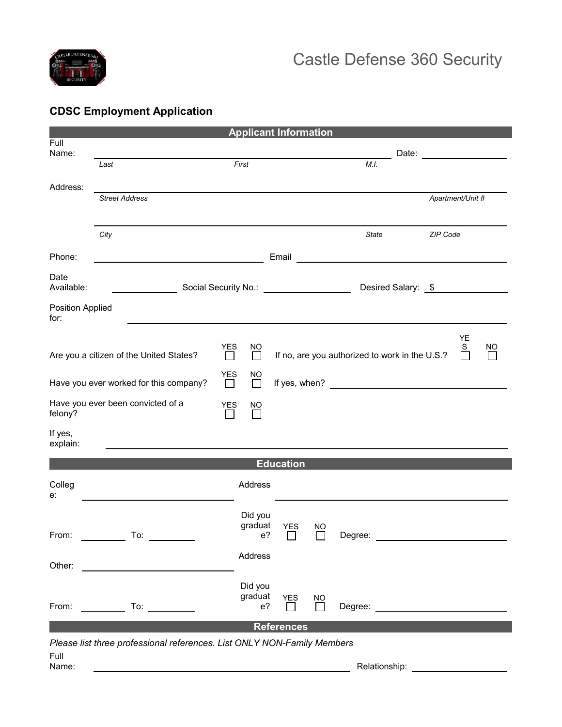

## **CDSC Employment Application**

|                                                                  |                                                                                  | <b>Applicant Information</b>        |                      |              |                                                |                    |  |  |
|------------------------------------------------------------------|----------------------------------------------------------------------------------|-------------------------------------|----------------------|--------------|------------------------------------------------|--------------------|--|--|
| Full<br>Name:                                                    |                                                                                  |                                     |                      |              |                                                |                    |  |  |
|                                                                  | Last                                                                             | First                               |                      |              | M.L                                            |                    |  |  |
|                                                                  |                                                                                  |                                     |                      |              |                                                |                    |  |  |
| Address:                                                         | <b>Street Address</b>                                                            |                                     |                      |              |                                                | Apartment/Unit #   |  |  |
|                                                                  |                                                                                  |                                     |                      |              |                                                |                    |  |  |
|                                                                  | City                                                                             |                                     |                      |              | <b>State</b>                                   | ZIP Code           |  |  |
|                                                                  |                                                                                  |                                     |                      |              |                                                |                    |  |  |
| Phone:                                                           |                                                                                  |                                     |                      |              |                                                |                    |  |  |
| Date<br>Available:                                               | _____________________Social Security No.: ________________________               |                                     |                      |              |                                                | Desired Salary: \$ |  |  |
| Position Applied<br>for:                                         |                                                                                  |                                     |                      |              |                                                |                    |  |  |
|                                                                  | YES<br>Are you a citizen of the United States?                                   | $\underline{\mathsf{NO}}$<br>$\Box$ |                      |              | If no, are you authorized to work in the U.S.? | YE<br>S<br>ΝO      |  |  |
| YES<br>no<br>N<br>Have you ever worked for this company?         |                                                                                  |                                     |                      |              |                                                |                    |  |  |
| Have you ever been convicted of a<br><b>YES</b><br>NO<br>felony? |                                                                                  |                                     |                      |              |                                                |                    |  |  |
| If yes,<br>explain:                                              | ,我们也不会有什么。""我们的人,我们也不会有什么?""我们的人,我们也不会有什么?""我们的人,我们也不会有什么?""我们的人,我们也不会有什么?""我们的人 |                                     |                      |              |                                                |                    |  |  |
| <b>Education</b>                                                 |                                                                                  |                                     |                      |              |                                                |                    |  |  |
| Colleg<br>e:                                                     |                                                                                  | Address                             |                      |              |                                                |                    |  |  |
| From:                                                            | To:                                                                              | Did you<br>graduat<br>e?            | <b>YES</b><br>$\Box$ | NO.          | Degree:                                        |                    |  |  |
| Other:                                                           |                                                                                  | Address                             |                      |              |                                                |                    |  |  |
| From:                                                            | <b>Example 2</b> To:                                                             | Did you<br>graduat<br>$e$ ?         | <b>YES</b>           | NO<br>$\Box$ |                                                |                    |  |  |
| <b>References</b>                                                |                                                                                  |                                     |                      |              |                                                |                    |  |  |
|                                                                  | Please list three professional references. List ONLY NON-Family Members          |                                     |                      |              |                                                |                    |  |  |
| Full<br>Name:                                                    |                                                                                  |                                     |                      |              | Relationship:                                  |                    |  |  |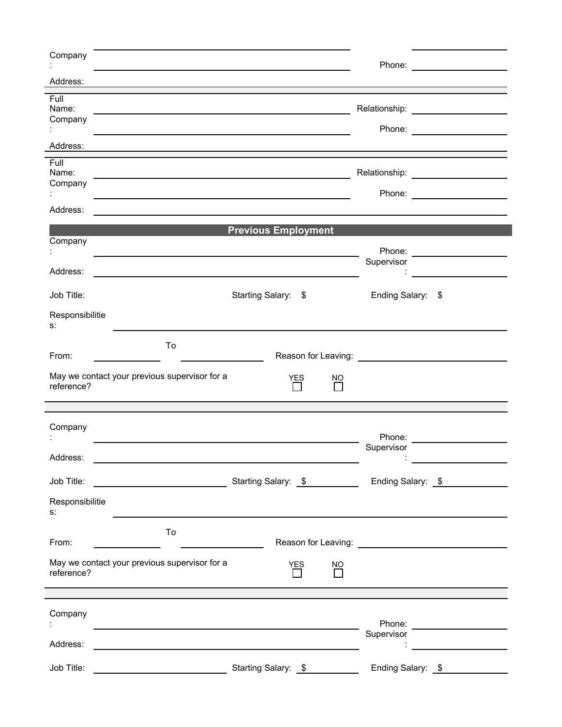| Company                  |                                                                                                                  |                                                                                                                                                                                                                               |           |                                            |                                 |
|--------------------------|------------------------------------------------------------------------------------------------------------------|-------------------------------------------------------------------------------------------------------------------------------------------------------------------------------------------------------------------------------|-----------|--------------------------------------------|---------------------------------|
| Address:                 |                                                                                                                  |                                                                                                                                                                                                                               |           |                                            |                                 |
| Full<br>Name:<br>Company |                                                                                                                  | the control of the control of the control of the control of the control of the control of the control of the control of the control of the control of the control of the control of the control of the control of the control |           | Relationship: ____________________         | Phone: <u>________________</u>  |
| Address:                 |                                                                                                                  |                                                                                                                                                                                                                               |           |                                            |                                 |
| Full<br>Name:<br>Company |                                                                                                                  | the control of the control of the control of the control of the control of the control of                                                                                                                                     |           | Relationship: _____________________        | Phone: <u>_________________</u> |
| Address:                 |                                                                                                                  |                                                                                                                                                                                                                               |           |                                            |                                 |
| Company                  |                                                                                                                  | <b>Previous Employment</b>                                                                                                                                                                                                    |           |                                            |                                 |
|                          |                                                                                                                  |                                                                                                                                                                                                                               |           | Supervisor                                 |                                 |
| Address:                 |                                                                                                                  |                                                                                                                                                                                                                               |           |                                            |                                 |
| Job Title:               |                                                                                                                  | <b>Starting Salary:</b><br>\$                                                                                                                                                                                                 |           | Ending Salary:                             | - \$                            |
| Responsibilitie<br>s.    |                                                                                                                  |                                                                                                                                                                                                                               |           |                                            |                                 |
| From:                    | To                                                                                                               |                                                                                                                                                                                                                               |           | Reason for Leaving: ______________________ |                                 |
| reference?               | May we contact your previous supervisor for a                                                                    | <b>YES</b><br>$\blacksquare$                                                                                                                                                                                                  | NO<br>l I |                                            |                                 |
|                          |                                                                                                                  |                                                                                                                                                                                                                               |           |                                            |                                 |
| Company                  |                                                                                                                  |                                                                                                                                                                                                                               |           | Phone:                                     |                                 |
|                          |                                                                                                                  |                                                                                                                                                                                                                               |           |                                            |                                 |
| Address:                 |                                                                                                                  |                                                                                                                                                                                                                               |           | Supervisor                                 |                                 |
| Job Title:               |                                                                                                                  |                                                                                                                                                                                                                               |           |                                            | Ending Salary: \$               |
| Responsibilitie<br>s.    |                                                                                                                  |                                                                                                                                                                                                                               |           |                                            |                                 |
| From:                    | To<br><u> 1989 - Andrea Station, amerikansk politiker (</u>                                                      |                                                                                                                                                                                                                               |           |                                            |                                 |
| reference?               | May we contact your previous supervisor for a                                                                    | YES                                                                                                                                                                                                                           | NO        |                                            |                                 |
|                          |                                                                                                                  |                                                                                                                                                                                                                               |           |                                            |                                 |
| Company                  | and the control of the control of the control of the control of the control of the control of the control of the |                                                                                                                                                                                                                               |           |                                            | Phone: ______________________   |
| Address:                 | <u> 1989 - Andrea Andrew Maria (h. 1989).</u>                                                                    |                                                                                                                                                                                                                               |           | Supervisor                                 | <u> Alban Maria (</u>           |